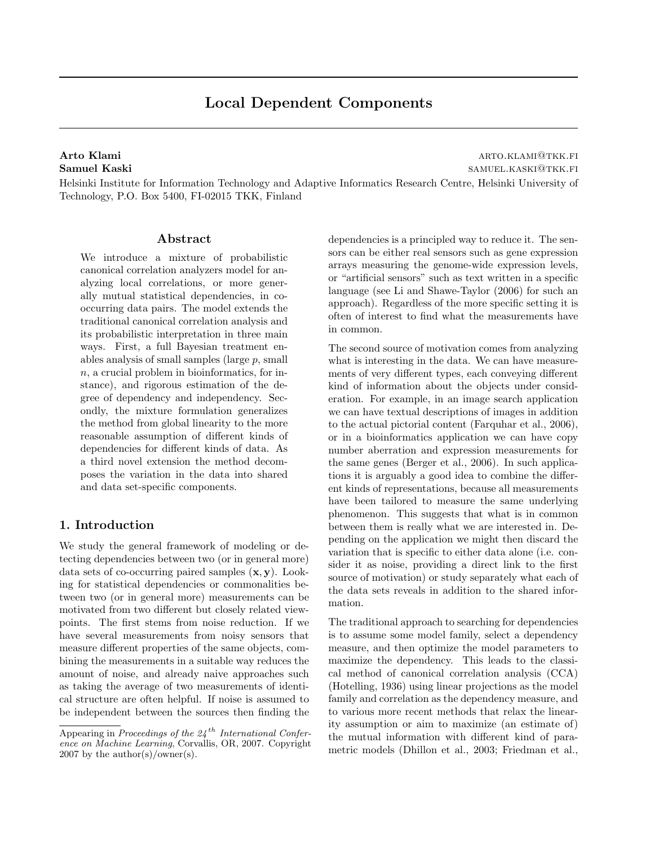# Local Dependent Components

Arto Klami arto.klami arto.klami arto.klami arto.klami arto.klami arto.klami arto.klami arto.klami arto.kl Samuel Kaski samuel Kaski samuel Kaski samuel Kaski samuel Kaski samuel Kaski samuel Kaski samuel Kaski samuel

Helsinki Institute for Information Technology and Adaptive Informatics Research Centre, Helsinki University of Technology, P.O. Box 5400, FI-02015 TKK, Finland

#### Abstract

We introduce a mixture of probabilistic canonical correlation analyzers model for analyzing local correlations, or more generally mutual statistical dependencies, in cooccurring data pairs. The model extends the traditional canonical correlation analysis and its probabilistic interpretation in three main ways. First, a full Bayesian treatment enables analysis of small samples (large p, small n, a crucial problem in bioinformatics, for instance), and rigorous estimation of the degree of dependency and independency. Secondly, the mixture formulation generalizes the method from global linearity to the more reasonable assumption of different kinds of dependencies for different kinds of data. As a third novel extension the method decomposes the variation in the data into shared and data set-specific components.

## 1. Introduction

We study the general framework of modeling or detecting dependencies between two (or in general more) data sets of co-occurring paired samples  $(x, y)$ . Looking for statistical dependencies or commonalities between two (or in general more) measurements can be motivated from two different but closely related viewpoints. The first stems from noise reduction. If we have several measurements from noisy sensors that measure different properties of the same objects, combining the measurements in a suitable way reduces the amount of noise, and already naive approaches such as taking the average of two measurements of identical structure are often helpful. If noise is assumed to be independent between the sources then finding the dependencies is a principled way to reduce it. The sensors can be either real sensors such as gene expression arrays measuring the genome-wide expression levels, or "artificial sensors" such as text written in a specific language (see Li and Shawe-Taylor (2006) for such an approach). Regardless of the more specific setting it is often of interest to find what the measurements have in common.

The second source of motivation comes from analyzing what is interesting in the data. We can have measurements of very different types, each conveying different kind of information about the objects under consideration. For example, in an image search application we can have textual descriptions of images in addition to the actual pictorial content (Farquhar et al., 2006), or in a bioinformatics application we can have copy number aberration and expression measurements for the same genes (Berger et al., 2006). In such applications it is arguably a good idea to combine the different kinds of representations, because all measurements have been tailored to measure the same underlying phenomenon. This suggests that what is in common between them is really what we are interested in. Depending on the application we might then discard the variation that is specific to either data alone (i.e. consider it as noise, providing a direct link to the first source of motivation) or study separately what each of the data sets reveals in addition to the shared information.

The traditional approach to searching for dependencies is to assume some model family, select a dependency measure, and then optimize the model parameters to maximize the dependency. This leads to the classical method of canonical correlation analysis (CCA) (Hotelling, 1936) using linear projections as the model family and correlation as the dependency measure, and to various more recent methods that relax the linearity assumption or aim to maximize (an estimate of) the mutual information with different kind of parametric models (Dhillon et al., 2003; Friedman et al.,

Appearing in Proceedings of the  $24$ <sup>th</sup> International Conference on Machine Learning, Corvallis, OR, 2007. Copyright  $2007$  by the author(s)/owner(s).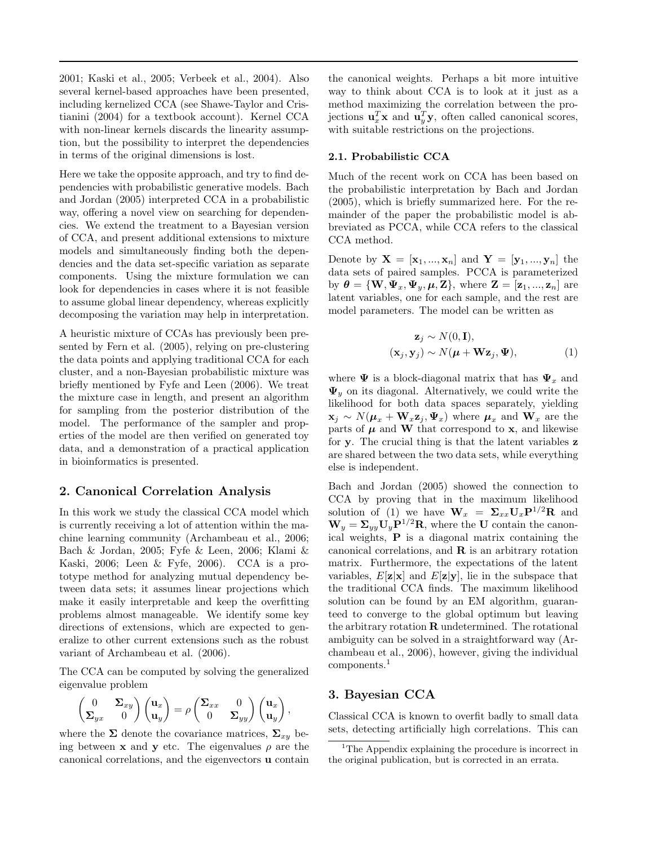2001; Kaski et al., 2005; Verbeek et al., 2004). Also several kernel-based approaches have been presented, including kernelized CCA (see Shawe-Taylor and Cristianini (2004) for a textbook account). Kernel CCA with non-linear kernels discards the linearity assumption, but the possibility to interpret the dependencies in terms of the original dimensions is lost.

Here we take the opposite approach, and try to find dependencies with probabilistic generative models. Bach and Jordan (2005) interpreted CCA in a probabilistic way, offering a novel view on searching for dependencies. We extend the treatment to a Bayesian version of CCA, and present additional extensions to mixture models and simultaneously finding both the dependencies and the data set-specific variation as separate components. Using the mixture formulation we can look for dependencies in cases where it is not feasible to assume global linear dependency, whereas explicitly decomposing the variation may help in interpretation.

A heuristic mixture of CCAs has previously been presented by Fern et al. (2005), relying on pre-clustering the data points and applying traditional CCA for each cluster, and a non-Bayesian probabilistic mixture was briefly mentioned by Fyfe and Leen (2006). We treat the mixture case in length, and present an algorithm for sampling from the posterior distribution of the model. The performance of the sampler and properties of the model are then verified on generated toy data, and a demonstration of a practical application in bioinformatics is presented.

## 2. Canonical Correlation Analysis

In this work we study the classical CCA model which is currently receiving a lot of attention within the machine learning community (Archambeau et al., 2006; Bach & Jordan, 2005; Fyfe & Leen, 2006; Klami & Kaski, 2006; Leen & Fyfe, 2006). CCA is a prototype method for analyzing mutual dependency between data sets; it assumes linear projections which make it easily interpretable and keep the overfitting problems almost manageable. We identify some key directions of extensions, which are expected to generalize to other current extensions such as the robust variant of Archambeau et al. (2006).

The CCA can be computed by solving the generalized eigenvalue problem

$$
\begin{pmatrix} 0 & \Sigma_{xy} \\ \Sigma_{yx} & 0 \end{pmatrix} \begin{pmatrix} \mathbf{u}_x \\ \mathbf{u}_y \end{pmatrix} = \rho \begin{pmatrix} \Sigma_{xx} & 0 \\ 0 & \Sigma_{yy} \end{pmatrix} \begin{pmatrix} \mathbf{u}_x \\ \mathbf{u}_y \end{pmatrix},
$$

where the  $\Sigma$  denote the covariance matrices,  $\Sigma_{xy}$  being between **x** and **y** etc. The eigenvalues  $\rho$  are the canonical correlations, and the eigenvectors u contain

the canonical weights. Perhaps a bit more intuitive way to think about CCA is to look at it just as a method maximizing the correlation between the projections  $\mathbf{u}_x^T \mathbf{x}$  and  $\mathbf{u}_y^T \mathbf{y}$ , often called canonical scores, with suitable restrictions on the projections.

#### 2.1. Probabilistic CCA

Much of the recent work on CCA has been based on the probabilistic interpretation by Bach and Jordan (2005), which is briefly summarized here. For the remainder of the paper the probabilistic model is abbreviated as PCCA, while CCA refers to the classical CCA method.

Denote by  $\mathbf{X} = [\mathbf{x}_1, ..., \mathbf{x}_n]$  and  $\mathbf{Y} = [\mathbf{y}_1, ..., \mathbf{y}_n]$  the data sets of paired samples. PCCA is parameterized by  $\boldsymbol{\theta} = {\bf{W}, \Psi_x, \Psi_y, \boldsymbol{\mu}, \mathbf{Z}}$ , where  $\mathbf{Z} = [\mathbf{z}_1, ..., \mathbf{z}_n]$  are latent variables, one for each sample, and the rest are model parameters. The model can be written as

$$
\mathbf{z}_{j} \sim N(0, \mathbf{I}),
$$
  

$$
(\mathbf{x}_{j}, \mathbf{y}_{j}) \sim N(\boldsymbol{\mu} + \mathbf{W}\mathbf{z}_{j}, \boldsymbol{\Psi}),
$$
 (1)

where  $\Psi$  is a block-diagonal matrix that has  $\Psi_x$  and  $\Psi_y$  on its diagonal. Alternatively, we could write the likelihood for both data spaces separately, yielding  $\mathbf{x}_j \sim N(\boldsymbol{\mu}_x + \mathbf{W}_x \mathbf{z}_j, \boldsymbol{\Psi}_x)$  where  $\boldsymbol{\mu}_x$  and  $\mathbf{W}_x$  are the parts of  $\pmb{\mu}$  and  $\pmb{\mathrm{W}}$  that correspond to  $\pmb{\mathrm{x}},$  and likewise for y. The crucial thing is that the latent variables z are shared between the two data sets, while everything else is independent.

Bach and Jordan (2005) showed the connection to CCA by proving that in the maximum likelihood solution of (1) we have  $\mathbf{W}_x = \Sigma_{xx} \mathbf{U}_x \mathbf{P}^{1/2} \mathbf{R}$  and  $W_y = \Sigma_{yy} U_y P^{1/2}R$ , where the U contain the canonical weights, P is a diagonal matrix containing the canonical correlations, and  $\bf{R}$  is an arbitrary rotation matrix. Furthermore, the expectations of the latent variables,  $E[\mathbf{z}|\mathbf{x}]$  and  $E[\mathbf{z}|\mathbf{y}]$ , lie in the subspace that the traditional CCA finds. The maximum likelihood solution can be found by an EM algorithm, guaranteed to converge to the global optimum but leaving the arbitrary rotation  **undetermined. The rotational** ambiguity can be solved in a straightforward way (Archambeau et al., 2006), however, giving the individual components.<sup>1</sup>

## 3. Bayesian CCA

Classical CCA is known to overfit badly to small data sets, detecting artificially high correlations. This can

<sup>&</sup>lt;sup>1</sup>The Appendix explaining the procedure is incorrect in the original publication, but is corrected in an errata.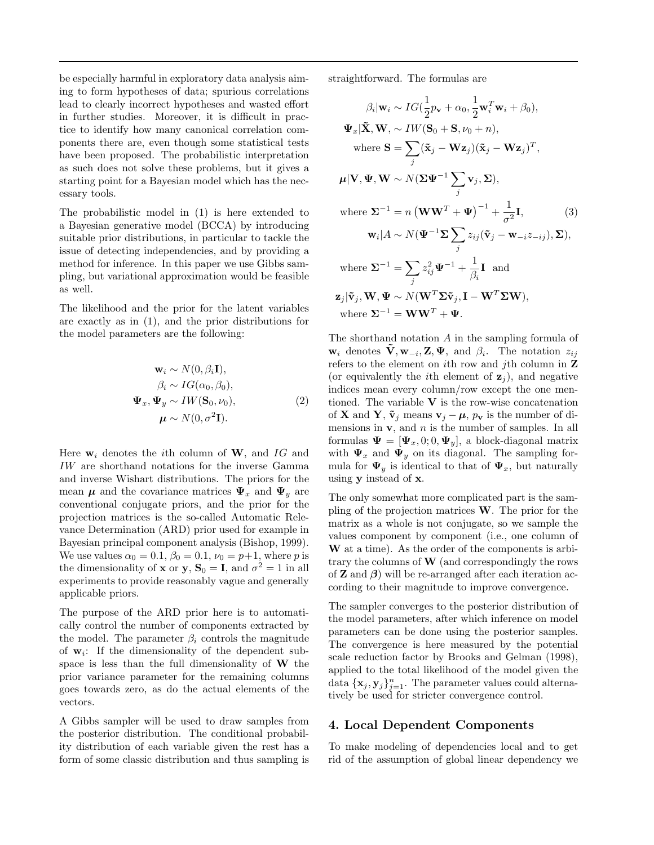be especially harmful in exploratory data analysis aiming to form hypotheses of data; spurious correlations lead to clearly incorrect hypotheses and wasted effort in further studies. Moreover, it is difficult in practice to identify how many canonical correlation components there are, even though some statistical tests have been proposed. The probabilistic interpretation as such does not solve these problems, but it gives a starting point for a Bayesian model which has the necessary tools.

The probabilistic model in (1) is here extended to a Bayesian generative model (BCCA) by introducing suitable prior distributions, in particular to tackle the issue of detecting independencies, and by providing a method for inference. In this paper we use Gibbs sampling, but variational approximation would be feasible as well.

The likelihood and the prior for the latent variables are exactly as in (1), and the prior distributions for the model parameters are the following:

$$
\mathbf{w}_i \sim N(0, \beta_i \mathbf{I}),
$$
  
\n
$$
\beta_i \sim IG(\alpha_0, \beta_0),
$$
  
\n
$$
\mathbf{\Psi}_x, \mathbf{\Psi}_y \sim IW(\mathbf{S}_0, \nu_0),
$$
  
\n
$$
\boldsymbol{\mu} \sim N(0, \sigma^2 \mathbf{I}).
$$
\n(2)

Here  $w_i$  denotes the *i*th column of W, and IG and IW are shorthand notations for the inverse Gamma and inverse Wishart distributions. The priors for the mean  $\mu$  and the covariance matrices  $\Psi_x$  and  $\Psi_y$  are conventional conjugate priors, and the prior for the projection matrices is the so-called Automatic Relevance Determination (ARD) prior used for example in Bayesian principal component analysis (Bishop, 1999). We use values  $\alpha_0 = 0.1$ ,  $\beta_0 = 0.1$ ,  $\nu_0 = p+1$ , where p is the dimensionality of **x** or **y**,  $S_0 = I$ , and  $\sigma^2 = 1$  in all experiments to provide reasonably vague and generally applicable priors.

The purpose of the ARD prior here is to automatically control the number of components extracted by the model. The parameter  $\beta_i$  controls the magnitude of  $w_i$ : If the dimensionality of the dependent subspace is less than the full dimensionality of  $W$  the prior variance parameter for the remaining columns goes towards zero, as do the actual elements of the vectors.

A Gibbs sampler will be used to draw samples from the posterior distribution. The conditional probability distribution of each variable given the rest has a form of some classic distribution and thus sampling is straightforward. The formulas are

$$
\beta_i | \mathbf{w}_i \sim IG(\frac{1}{2}p_\mathbf{v} + \alpha_0, \frac{1}{2}\mathbf{w}_i^T \mathbf{w}_i + \beta_0),
$$
  
\n
$$
\Psi_x | \tilde{\mathbf{X}}, \mathbf{W}, \sim IN(\mathbf{S}_0 + \mathbf{S}, \nu_0 + n),
$$
  
\nwhere  $\mathbf{S} = \sum_j (\tilde{\mathbf{x}}_j - \mathbf{Wz}_j)(\tilde{\mathbf{x}}_j - \mathbf{Wz}_j)^T,$   
\n
$$
\boldsymbol{\mu} | \mathbf{V}, \boldsymbol{\Psi}, \mathbf{W} \sim N(\boldsymbol{\Sigma}\boldsymbol{\Psi}^{-1} \sum_j \mathbf{v}_j, \boldsymbol{\Sigma}),
$$
  
\nwhere  $\boldsymbol{\Sigma}^{-1} = n (\mathbf{W}\mathbf{W}^T + \boldsymbol{\Psi})^{-1} + \frac{1}{\sigma^2} \mathbf{I},$  (3)  
\n
$$
\mathbf{w}_i | A \sim N(\boldsymbol{\Psi}^{-1} \boldsymbol{\Sigma} \sum_j z_{ij} (\tilde{\mathbf{v}}_j - \mathbf{w}_{-i} z_{-ij}), \boldsymbol{\Sigma}),
$$
  
\nwhere  $\boldsymbol{\Sigma}^{-1} = \sum_j z_{ij}^2 \boldsymbol{\Psi}^{-1} + \frac{1}{\beta_i} \mathbf{I}$  and  
\n
$$
\mathbf{z}_j | \tilde{\mathbf{v}}_j, \mathbf{W}, \boldsymbol{\Psi} \sim N(\mathbf{W}^T \boldsymbol{\Sigma} \tilde{\mathbf{v}}_j, \mathbf{I} - \mathbf{W}^T \boldsymbol{\Sigma} \mathbf{W}),
$$
  
\nwhere  $\boldsymbol{\Sigma}^{-1} = \mathbf{W}\mathbf{W}^T + \boldsymbol{\Psi}.$ 

The shorthand notation A in the sampling formula of  $\mathbf{w}_i$  denotes  $\tilde{\mathbf{V}}, \mathbf{w}_{-i}, \mathbf{Z}, \mathbf{\Psi}, \text{ and } \beta_i$ . The notation  $z_{ij}$ refers to the element on  $i$ th row and  $j$ th column in Z (or equivalently the *i*th element of  $z_i$ ), and negative indices mean every column/row except the one mentioned. The variable  $V$  is the row-wise concatenation of **X** and **Y**,  $\tilde{\mathbf{v}}_j$  means  $\mathbf{v}_j - \boldsymbol{\mu}$ ,  $p_{\mathbf{v}}$  is the number of dimensions in  $v$ , and  $n$  is the number of samples. In all formulas  $\Psi = [\Psi_x, 0; 0, \Psi_y]$ , a block-diagonal matrix with  $\Psi_x$  and  $\Psi_y$  on its diagonal. The sampling formula for  $\Psi_y$  is identical to that of  $\Psi_x$ , but naturally using y instead of x.

The only somewhat more complicated part is the sampling of the projection matrices  $W$ . The prior for the matrix as a whole is not conjugate, so we sample the values component by component (i.e., one column of W at a time). As the order of the components is arbitrary the columns of  $\bf{W}$  (and correspondingly the rows of **Z** and  $\beta$ ) will be re-arranged after each iteration according to their magnitude to improve convergence.

The sampler converges to the posterior distribution of the model parameters, after which inference on model parameters can be done using the posterior samples. The convergence is here measured by the potential scale reduction factor by Brooks and Gelman (1998), applied to the total likelihood of the model given the data  $\{\mathbf x_j, \mathbf y_j\}_{j=1}^n$ . The parameter values could alternatively be used for stricter convergence control.

#### 4. Local Dependent Components

To make modeling of dependencies local and to get rid of the assumption of global linear dependency we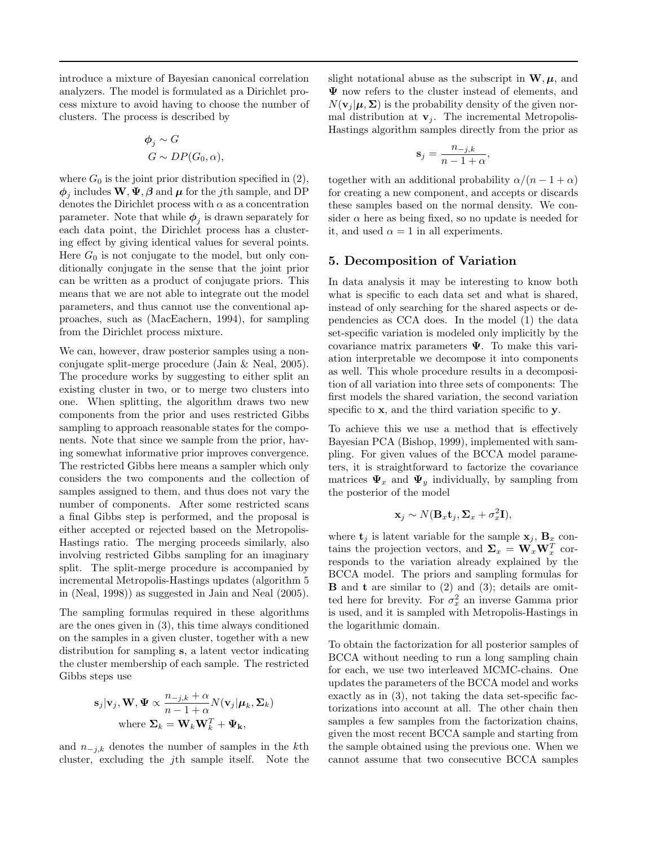introduce a mixture of Bayesian canonical correlation analyzers. The model is formulated as a Dirichlet process mixture to avoid having to choose the number of clusters. The process is described by

$$
\begin{aligned}\n\phi_j &\sim G \\
G &\sim DP(G_0, \alpha),\n\end{aligned}
$$

where  $G_0$  is the joint prior distribution specified in (2),  $\phi_j$  includes  $\mathbf{W}, \Psi, \boldsymbol{\beta}$  and  $\boldsymbol{\mu}$  for the *j*th sample, and DP denotes the Dirichlet process with  $\alpha$  as a concentration parameter. Note that while  $\phi_j$  is drawn separately for each data point, the Dirichlet process has a clustering effect by giving identical values for several points. Here  $G_0$  is not conjugate to the model, but only conditionally conjugate in the sense that the joint prior can be written as a product of conjugate priors. This means that we are not able to integrate out the model parameters, and thus cannot use the conventional approaches, such as (MacEachern, 1994), for sampling from the Dirichlet process mixture.

We can, however, draw posterior samples using a nonconjugate split-merge procedure (Jain & Neal, 2005). The procedure works by suggesting to either split an existing cluster in two, or to merge two clusters into one. When splitting, the algorithm draws two new components from the prior and uses restricted Gibbs sampling to approach reasonable states for the components. Note that since we sample from the prior, having somewhat informative prior improves convergence. The restricted Gibbs here means a sampler which only considers the two components and the collection of samples assigned to them, and thus does not vary the number of components. After some restricted scans a final Gibbs step is performed, and the proposal is either accepted or rejected based on the Metropolis-Hastings ratio. The merging proceeds similarly, also involving restricted Gibbs sampling for an imaginary split. The split-merge procedure is accompanied by incremental Metropolis-Hastings updates (algorithm 5 in (Neal, 1998)) as suggested in Jain and Neal (2005).

The sampling formulas required in these algorithms are the ones given in (3), this time always conditioned on the samples in a given cluster, together with a new distribution for sampling s, a latent vector indicating the cluster membership of each sample. The restricted Gibbs steps use

$$
\mathbf{s}_j|\mathbf{v}_j, \mathbf{W}, \boldsymbol{\Psi} \propto \frac{n_{-j,k} + \alpha}{n - 1 + \alpha} N(\mathbf{v}_j|\boldsymbol{\mu}_k, \boldsymbol{\Sigma}_k)
$$
  
where  $\boldsymbol{\Sigma}_k = \mathbf{W}_k \mathbf{W}_k^T + \boldsymbol{\Psi}_k$ ,

and  $n_{-i,k}$  denotes the number of samples in the kth cluster, excluding the jth sample itself. Note the slight notational abuse as the subscript in  $W, \mu$ , and Ψ now refers to the cluster instead of elements, and  $N(\mathbf{v}_i | \boldsymbol{\mu}, \boldsymbol{\Sigma})$  is the probability density of the given normal distribution at  $\mathbf{v}_j$ . The incremental Metropolis-Hastings algorithm samples directly from the prior as

$$
\mathbf{s}_j = \frac{n_{-j,k}}{n-1+\alpha},
$$

together with an additional probability  $\alpha/(n-1+\alpha)$ for creating a new component, and accepts or discards these samples based on the normal density. We consider  $\alpha$  here as being fixed, so no update is needed for it, and used  $\alpha = 1$  in all experiments.

## 5. Decomposition of Variation

In data analysis it may be interesting to know both what is specific to each data set and what is shared, instead of only searching for the shared aspects or dependencies as CCA does. In the model (1) the data set-specific variation is modeled only implicitly by the covariance matrix parameters  $\Psi$ . To make this variation interpretable we decompose it into components as well. This whole procedure results in a decomposition of all variation into three sets of components: The first models the shared variation, the second variation specific to **x**, and the third variation specific to **y**.

To achieve this we use a method that is effectively Bayesian PCA (Bishop, 1999), implemented with sampling. For given values of the BCCA model parameters, it is straightforward to factorize the covariance matrices  $\Psi_x$  and  $\Psi_y$  individually, by sampling from the posterior of the model

$$
\mathbf{x}_j \sim N(\mathbf{B}_x \mathbf{t}_j, \Sigma_x + \sigma_x^2 \mathbf{I}),
$$

where  $\mathbf{t}_i$  is latent variable for the sample  $\mathbf{x}_i$ ,  $\mathbf{B}_x$  contains the projection vectors, and  $\Sigma_x = \mathbf{W}_x \mathbf{W}_x^T$  corresponds to the variation already explained by the BCCA model. The priors and sampling formulas for  $\bf{B}$  and  $\bf{t}$  are similar to (2) and (3); details are omitted here for brevity. For  $\sigma_x^2$  an inverse Gamma prior is used, and it is sampled with Metropolis-Hastings in the logarithmic domain.

To obtain the factorization for all posterior samples of BCCA without needing to run a long sampling chain for each, we use two interleaved MCMC-chains. One updates the parameters of the BCCA model and works exactly as in (3), not taking the data set-specific factorizations into account at all. The other chain then samples a few samples from the factorization chains, given the most recent BCCA sample and starting from the sample obtained using the previous one. When we cannot assume that two consecutive BCCA samples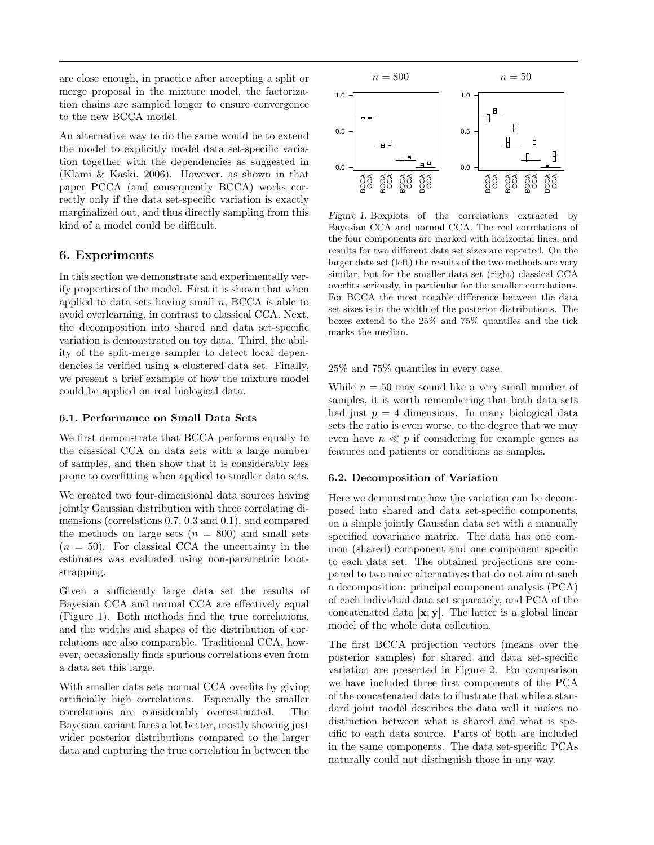are close enough, in practice after accepting a split or merge proposal in the mixture model, the factorization chains are sampled longer to ensure convergence to the new BCCA model.

An alternative way to do the same would be to extend the model to explicitly model data set-specific variation together with the dependencies as suggested in (Klami & Kaski, 2006). However, as shown in that paper PCCA (and consequently BCCA) works correctly only if the data set-specific variation is exactly marginalized out, and thus directly sampling from this kind of a model could be difficult.

## 6. Experiments

In this section we demonstrate and experimentally verify properties of the model. First it is shown that when applied to data sets having small  $n$ , BCCA is able to avoid overlearning, in contrast to classical CCA. Next, the decomposition into shared and data set-specific variation is demonstrated on toy data. Third, the ability of the split-merge sampler to detect local dependencies is verified using a clustered data set. Finally, we present a brief example of how the mixture model could be applied on real biological data.

#### 6.1. Performance on Small Data Sets

We first demonstrate that BCCA performs equally to the classical CCA on data sets with a large number of samples, and then show that it is considerably less prone to overfitting when applied to smaller data sets.

We created two four-dimensional data sources having jointly Gaussian distribution with three correlating dimensions (correlations 0.7, 0.3 and 0.1), and compared the methods on large sets  $(n = 800)$  and small sets  $(n = 50)$ . For classical CCA the uncertainty in the estimates was evaluated using non-parametric bootstrapping.

Given a sufficiently large data set the results of Bayesian CCA and normal CCA are effectively equal (Figure 1). Both methods find the true correlations, and the widths and shapes of the distribution of correlations are also comparable. Traditional CCA, however, occasionally finds spurious correlations even from a data set this large.

With smaller data sets normal CCA overfits by giving artificially high correlations. Especially the smaller correlations are considerably overestimated. The Bayesian variant fares a lot better, mostly showing just wider posterior distributions compared to the larger data and capturing the true correlation in between the



Figure 1. Boxplots of the correlations extracted by Bayesian CCA and normal CCA. The real correlations of the four components are marked with horizontal lines, and results for two different data set sizes are reported. On the larger data set (left) the results of the two methods are very similar, but for the smaller data set (right) classical CCA overfits seriously, in particular for the smaller correlations. For BCCA the most notable difference between the data set sizes is in the width of the posterior distributions. The boxes extend to the 25% and 75% quantiles and the tick marks the median.

25% and 75% quantiles in every case.

While  $n = 50$  may sound like a very small number of samples, it is worth remembering that both data sets had just  $p = 4$  dimensions. In many biological data sets the ratio is even worse, to the degree that we may even have  $n \ll p$  if considering for example genes as features and patients or conditions as samples.

#### 6.2. Decomposition of Variation

Here we demonstrate how the variation can be decomposed into shared and data set-specific components, on a simple jointly Gaussian data set with a manually specified covariance matrix. The data has one common (shared) component and one component specific to each data set. The obtained projections are compared to two naive alternatives that do not aim at such a decomposition: principal component analysis (PCA) of each individual data set separately, and PCA of the concatenated data [x; y]. The latter is a global linear model of the whole data collection.

The first BCCA projection vectors (means over the posterior samples) for shared and data set-specific variation are presented in Figure 2. For comparison we have included three first components of the PCA of the concatenated data to illustrate that while a standard joint model describes the data well it makes no distinction between what is shared and what is specific to each data source. Parts of both are included in the same components. The data set-specific PCAs naturally could not distinguish those in any way.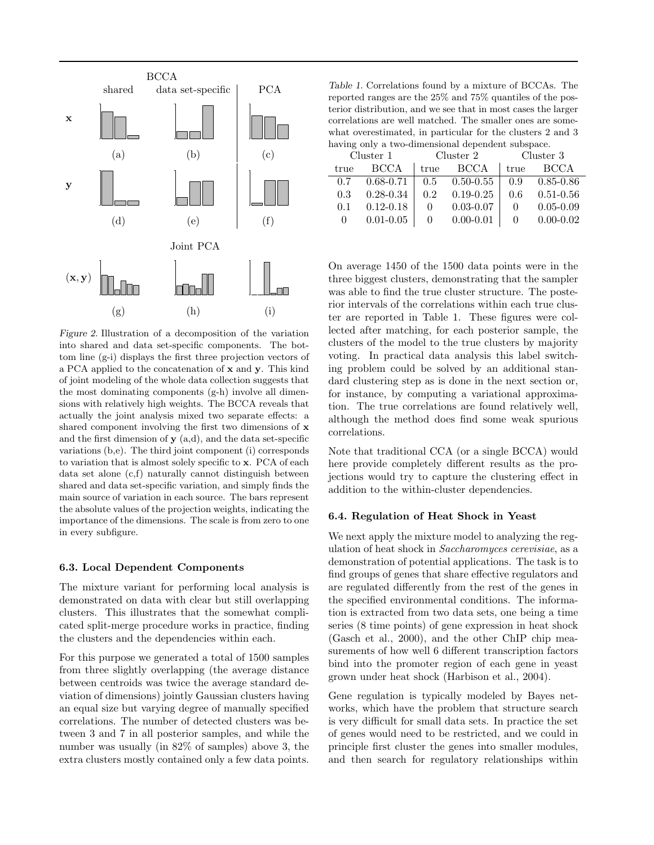

Figure 2. Illustration of a decomposition of the variation into shared and data set-specific components. The bottom line (g-i) displays the first three projection vectors of a PCA applied to the concatenation of x and y. This kind of joint modeling of the whole data collection suggests that the most dominating components (g-h) involve all dimensions with relatively high weights. The BCCA reveals that actually the joint analysis mixed two separate effects: a shared component involving the first two dimensions of x and the first dimension of  $y$  (a,d), and the data set-specific variations (b,e). The third joint component (i) corresponds to variation that is almost solely specific to x. PCA of each data set alone (c,f) naturally cannot distinguish between shared and data set-specific variation, and simply finds the main source of variation in each source. The bars represent the absolute values of the projection weights, indicating the importance of the dimensions. The scale is from zero to one in every subfigure.

#### 6.3. Local Dependent Components

The mixture variant for performing local analysis is demonstrated on data with clear but still overlapping clusters. This illustrates that the somewhat complicated split-merge procedure works in practice, finding the clusters and the dependencies within each.

For this purpose we generated a total of 1500 samples from three slightly overlapping (the average distance between centroids was twice the average standard deviation of dimensions) jointly Gaussian clusters having an equal size but varying degree of manually specified correlations. The number of detected clusters was between 3 and 7 in all posterior samples, and while the number was usually (in 82% of samples) above 3, the extra clusters mostly contained only a few data points.

Table 1. Correlations found by a mixture of BCCAs. The reported ranges are the 25% and 75% quantiles of the posterior distribution, and we see that in most cases the larger correlations are well matched. The smaller ones are somewhat overestimated, in particular for the clusters 2 and 3 having only a two-dimensional dependent subspace.

| Cluster 1 |               | Cluster 2    |                     | Cluster 3 |               |
|-----------|---------------|--------------|---------------------|-----------|---------------|
| true      | <b>BCCA</b>   | true         | BCCA                | true      | <b>BCCA</b>   |
| 0.7       | $0.68 - 0.71$ |              | $0.5$ $0.50 - 0.55$ | 0.9       | $0.85 - 0.86$ |
| 0.3       | $0.28 - 0.34$ | 0.2          | $0.19 - 0.25$       | 0.6       | $0.51 - 0.56$ |
| 0.1       | $0.12 - 0.18$ | $\mathbf{0}$ | $0.03 - 0.07$       | $\Omega$  | $0.05 - 0.09$ |
| $\Omega$  | $0.01 - 0.05$ | $\Omega$     | $0.00 - 0.01$       | 0         | $0.00 - 0.02$ |

On average 1450 of the 1500 data points were in the three biggest clusters, demonstrating that the sampler was able to find the true cluster structure. The posterior intervals of the correlations within each true cluster are reported in Table 1. These figures were collected after matching, for each posterior sample, the clusters of the model to the true clusters by majority voting. In practical data analysis this label switching problem could be solved by an additional standard clustering step as is done in the next section or, for instance, by computing a variational approximation. The true correlations are found relatively well, although the method does find some weak spurious correlations.

Note that traditional CCA (or a single BCCA) would here provide completely different results as the projections would try to capture the clustering effect in addition to the within-cluster dependencies.

#### 6.4. Regulation of Heat Shock in Yeast

We next apply the mixture model to analyzing the regulation of heat shock in Saccharomyces cerevisiae, as a demonstration of potential applications. The task is to find groups of genes that share effective regulators and are regulated differently from the rest of the genes in the specified environmental conditions. The information is extracted from two data sets, one being a time series (8 time points) of gene expression in heat shock (Gasch et al., 2000), and the other ChIP chip measurements of how well 6 different transcription factors bind into the promoter region of each gene in yeast grown under heat shock (Harbison et al., 2004).

Gene regulation is typically modeled by Bayes networks, which have the problem that structure search is very difficult for small data sets. In practice the set of genes would need to be restricted, and we could in principle first cluster the genes into smaller modules, and then search for regulatory relationships within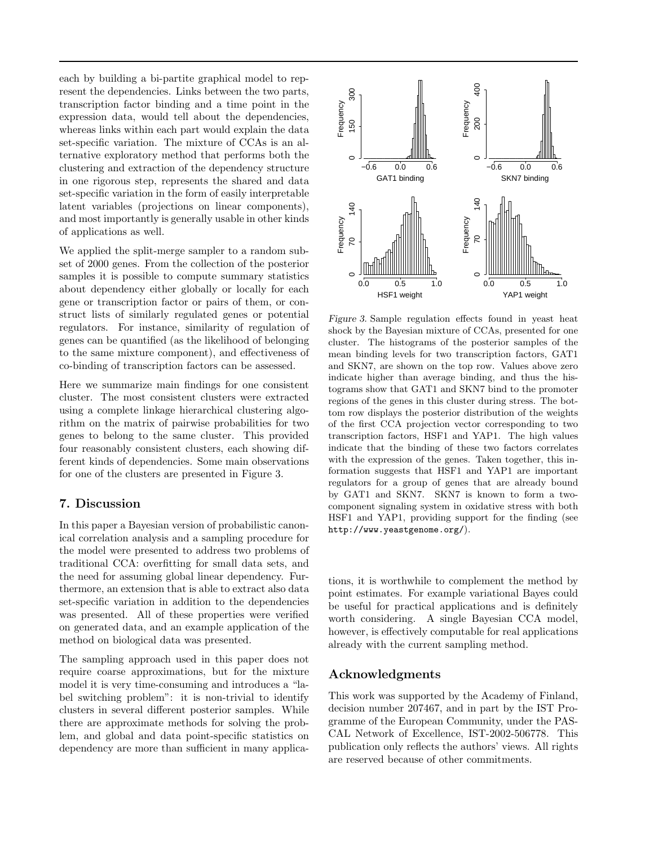each by building a bi-partite graphical model to represent the dependencies. Links between the two parts, transcription factor binding and a time point in the expression data, would tell about the dependencies, whereas links within each part would explain the data set-specific variation. The mixture of CCAs is an alternative exploratory method that performs both the clustering and extraction of the dependency structure in one rigorous step, represents the shared and data set-specific variation in the form of easily interpretable latent variables (projections on linear components), and most importantly is generally usable in other kinds of applications as well.

We applied the split-merge sampler to a random subset of 2000 genes. From the collection of the posterior samples it is possible to compute summary statistics about dependency either globally or locally for each gene or transcription factor or pairs of them, or construct lists of similarly regulated genes or potential regulators. For instance, similarity of regulation of genes can be quantified (as the likelihood of belonging to the same mixture component), and effectiveness of co-binding of transcription factors can be assessed.

Here we summarize main findings for one consistent cluster. The most consistent clusters were extracted using a complete linkage hierarchical clustering algorithm on the matrix of pairwise probabilities for two genes to belong to the same cluster. This provided four reasonably consistent clusters, each showing different kinds of dependencies. Some main observations for one of the clusters are presented in Figure 3.

## 7. Discussion

In this paper a Bayesian version of probabilistic canonical correlation analysis and a sampling procedure for the model were presented to address two problems of traditional CCA: overfitting for small data sets, and the need for assuming global linear dependency. Furthermore, an extension that is able to extract also data set-specific variation in addition to the dependencies was presented. All of these properties were verified on generated data, and an example application of the method on biological data was presented.

The sampling approach used in this paper does not require coarse approximations, but for the mixture model it is very time-consuming and introduces a "label switching problem": it is non-trivial to identify clusters in several different posterior samples. While there are approximate methods for solving the problem, and global and data point-specific statistics on dependency are more than sufficient in many applica-



Figure 3. Sample regulation effects found in yeast heat shock by the Bayesian mixture of CCAs, presented for one cluster. The histograms of the posterior samples of the mean binding levels for two transcription factors, GAT1 and SKN7, are shown on the top row. Values above zero indicate higher than average binding, and thus the histograms show that GAT1 and SKN7 bind to the promoter regions of the genes in this cluster during stress. The bottom row displays the posterior distribution of the weights of the first CCA projection vector corresponding to two transcription factors, HSF1 and YAP1. The high values indicate that the binding of these two factors correlates with the expression of the genes. Taken together, this information suggests that HSF1 and YAP1 are important regulators for a group of genes that are already bound by GAT1 and SKN7. SKN7 is known to form a twocomponent signaling system in oxidative stress with both HSF1 and YAP1, providing support for the finding (see http://www.yeastgenome.org/).

tions, it is worthwhile to complement the method by point estimates. For example variational Bayes could be useful for practical applications and is definitely worth considering. A single Bayesian CCA model, however, is effectively computable for real applications already with the current sampling method.

## Acknowledgments

This work was supported by the Academy of Finland, decision number 207467, and in part by the IST Programme of the European Community, under the PAS-CAL Network of Excellence, IST-2002-506778. This publication only reflects the authors' views. All rights are reserved because of other commitments.